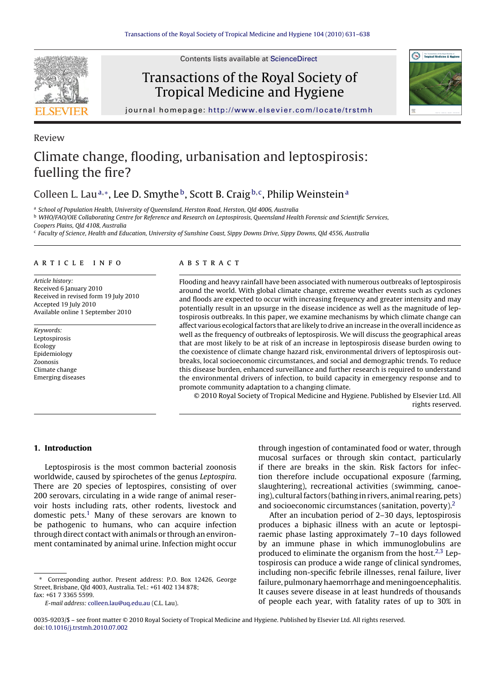

Review

Contents lists available at [ScienceDirect](http://www.sciencedirect.com/science/journal/00359203)

# Transactions of the Royal Society of Tropical Medicine and Hygiene



journal homepage: <http://www.elsevier.com/locate/trstmh>

# Climate change, flooding, urbanisation and leptospirosis: fuelling the fire?

Colleen L. Lau<sup>a,∗</sup>, Lee D. Smythe<sup>b</sup>, Scott B. Craig<sup>b,c</sup>, Philip Weinstein<sup>a</sup>

a School of Population Health, University of Queensland, Herston Road, Herston, Qld 4006, Australia

<sup>b</sup> WHO/FAO/OIE Collaborating Centre for Reference and Research on Leptospirosis, Queensland Health Forensic and Scientific Services,

Coopers Plains, Qld 4108, Australia

<sup>c</sup> Faculty of Science, Health and Education, University of Sunshine Coast, Sippy Downs Drive, Sippy Downs, Qld 4556, Australia

#### article info

Article history: Received 6 January 2010 Received in revised form 19 July 2010 Accepted 19 July 2010 Available online 1 September 2010

Keywords: Leptospirosis Ecology Epidemiology Zoonosis Climate change Emerging diseases

# ABSTRACT

Flooding and heavy rainfall have been associated with numerous outbreaks of leptospirosis around the world. With global climate change, extreme weather events such as cyclones and floods are expected to occur with increasing frequency and greater intensity and may potentially result in an upsurge in the disease incidence as well as the magnitude of leptospirosis outbreaks. In this paper, we examine mechanisms by which climate change can affect various ecological factors that are likely to drive an increase in the overall incidence as well as the frequency of outbreaks of leptospirosis. We will discuss the geographical areas that are most likely to be at risk of an increase in leptospirosis disease burden owing to the coexistence of climate change hazard risk, environmental drivers of leptospirosis outbreaks, local socioeconomic circumstances, and social and demographic trends. To reduce this disease burden, enhanced surveillance and further research is required to understand the environmental drivers of infection, to build capacity in emergency response and to promote community adaptation to a changing climate.

© 2010 Royal Society of Tropical Medicine and Hygiene. Published by Elsevier Ltd. All rights reserved.

# **1. Introduction**

Leptospirosis is the most common bacterial zoonosis worldwide, caused by spirochetes of the genus Leptospira. There are 20 species of leptospires, consisting of over 200 serovars, circulating in a wide range of animal reservoir hosts including rats, other rodents, livestock and domestic pets[.1](#page-6-0) Many of these serovars are known to be pathogenic to humans, who can acquire infection through direct contact with animals or through an environment contaminated by animal urine. Infection might occur

Corresponding author. Present address: P.O. Box 12426, George Street, Brisbane, Qld 4003, Australia. Tel.: +61 402 134 878; fax: +61 7 3365 5599.

E-mail address: [colleen.lau@uq.edu.au](mailto:colleen.lau@uq.edu.au) (C.L. Lau).

through ingestion of contaminated food or water, through mucosal surfaces or through skin contact, particularly if there are breaks in the skin. Risk factors for infection therefore include occupational exposure (farming, slaughtering), recreational activities (swimming, canoeing), cultural factors (bathing in rivers, animal rearing, pets) and socioeconomic circumstances (sanitation, poverty).<sup>2</sup>

After an incubation period of 2–30 days, leptospirosis produces a biphasic illness with an acute or leptospiraemic phase lasting approximately 7–10 days followed by an immune phase in which immunoglobulins are produced to eliminate the organism from the host.<sup>2,3</sup> Leptospirosis can produce a wide range of clinical syndromes, including non-specific febrile illnesses, renal failure, liver failure, pulmonary haemorrhage and meningoencephalitis. It causes severe disease in at least hundreds of thousands of people each year, with fatality rates of up to 30% in

<sup>0035-9203/\$ –</sup> see front matter © 2010 Royal Society of Tropical Medicine and Hygiene. Published by Elsevier Ltd. All rights reserved. doi:[10.1016/j.trstmh.2010.07.002](dx.doi.org/10.1016/j.trstmh.2010.07.002)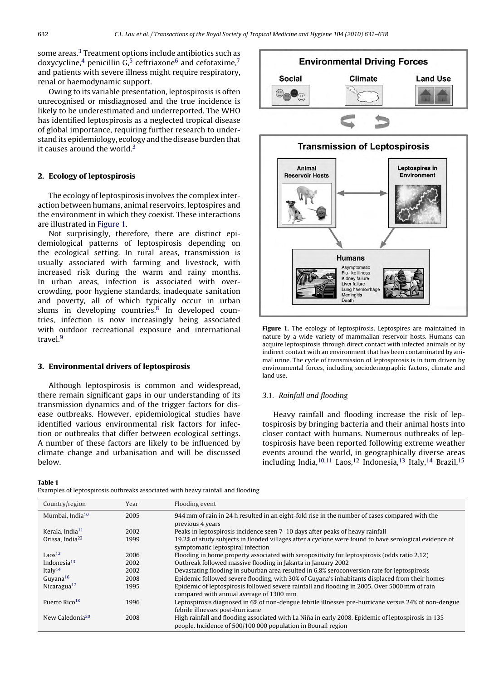<span id="page-1-0"></span>some areas.<sup>3</sup> Treatment options include antibiotics such as doxycycline,<sup>[4](#page-6-0)</sup> penicillin  $G<sub>1</sub>$ <sup>5</sup> ceftriaxone<sup>[6](#page-6-0)</sup> and cefotaxime,<sup>7</sup> and patients with severe illness might require respiratory, renal or haemodynamic support.

Owing to its variable presentation, leptospirosis is often unrecognised or misdiagnosed and the true incidence is likely to be underestimated and underreported. The WHO has identified leptospirosis as a neglected tropical disease of global importance, requiring further research to understand its epidemiology, ecology and the disease burden that it causes around the world. $3$ 

# **2. Ecology of leptospirosis**

The ecology of leptospirosis involves the complex interaction between humans, animal reservoirs, leptospires and the environment in which they coexist. These interactions are illustrated in Figure 1.

Not surprisingly, therefore, there are distinct epidemiological patterns of leptospirosis depending on the ecological setting. In rural areas, transmission is usually associated with farming and livestock, with increased risk during the warm and rainy months. In urban areas, infection is associated with overcrowding, poor hygiene standards, inadequate sanitation and poverty, all of which typically occur in urban slums in developing countries.<sup>8</sup> In developed countries, infection is now increasingly being associated with outdoor recreational exposure and international travel<sup>9</sup>

# **3. Environmental drivers of leptospirosis**

Although leptospirosis is common and widespread, there remain significant gaps in our understanding of its transmission dynamics and of the trigger factors for disease outbreaks. However, epidemiological studies have identified various environmental risk factors for infection or outbreaks that differ between ecological settings. A number of these factors are likely to be influenced by climate change and urbanisation and will be discussed below.

#### **Table 1**

Examples of leptospirosis outbreaks associated with heavy rainfall and flooding







**Figure 1.** The ecology of leptospirosis. Leptospires are maintained in nature by a wide variety of mammalian reservoir hosts. Humans can acquire leptospirosis through direct contact with infected animals or by indirect contact with an environment that has been contaminated by animal urine. The cycle of transmission of leptospirosis is in turn driven by environmental forces, including sociodemographic factors, climate and land use.

# 3.1. Rainfall and flooding

Heavy rainfall and flooding increase the risk of leptospirosis by bringing bacteria and their animal hosts into closer contact with humans. Numerous outbreaks of leptospirosis have been reported following extreme weather events around the world, in geographically diverse areas including India,  $10,11$  Laos,  $12$  Indonesia,  $13$  Italy,  $14$  Brazil,  $15$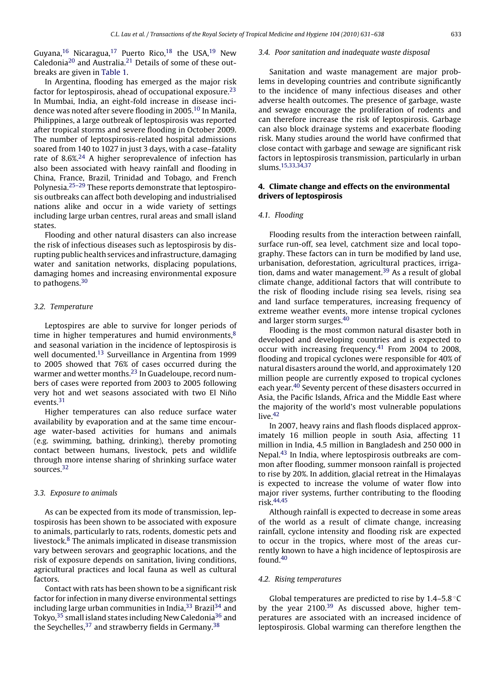Guyana,<sup>[16](#page-6-0)</sup> Nicaragua,<sup>17</sup> Puerto Rico,<sup>[18](#page-6-0)</sup> the USA,<sup>19</sup> New Caledonia[20](#page-6-0) and Australia[.21](#page-6-0) Details of some of these outbreaks are given in [Table 1.](#page-1-0)

In Argentina, flooding has emerged as the major risk factor for leptospirosis, ahead of occupational exposure. $23$ In Mumbai, India, an eight-fold increase in disease incidence was noted after severe flooding in 2005[.10](#page-6-0) In Manila, Philippines, a large outbreak of leptospirosis was reported after tropical storms and severe flooding in October 2009. The number of leptospirosis-related hospital admissions soared from 140 to 1027 in just 3 days, with a case–fatality rate of 8.6% $^{24}$  $^{24}$  $^{24}$  A higher seroprevalence of infection has also been associated with heavy rainfall and flooding in China, France, Brazil, Trinidad and Tobago, and French Polynesia[.25–29](#page-6-0) These reports demonstrate that leptospirosis outbreaks can affect both developing and industrialised nations alike and occur in a wide variety of settings including large urban centres, rural areas and small island states.

Flooding and other natural disasters can also increase the risk of infectious diseases such as leptospirosis by disrupting public health services and infrastructure, damaging water and sanitation networks, displacing populations, damaging homes and increasing environmental exposure to pathogens.<sup>30</sup>

# 3.2. Temperature

Leptospires are able to survive for longer periods of time in higher temperatures and humid environments, $8$ and seasonal variation in the incidence of leptospirosis is well documented.<sup>13</sup> Surveillance in Argentina from 1999 to 2005 showed that 76% of cases occurred during the warmer and wetter months.<sup>[23](#page-6-0)</sup> In Guadeloupe, record numbers of cases were reported from 2003 to 2005 following very hot and wet seasons associated with two El Niño events.[31](#page-6-0)

Higher temperatures can also reduce surface water availability by evaporation and at the same time encourage water-based activities for humans and animals (e.g. swimming, bathing, drinking), thereby promoting contact between humans, livestock, pets and wildlife through more intense sharing of shrinking surface water sources.[32](#page-6-0)

#### 3.3. Exposure to animals

As can be expected from its mode of transmission, leptospirosis has been shown to be associated with exposure to animals, particularly to rats, rodents, domestic pets and livestock.[8](#page-6-0) The animals implicated in disease transmission vary between serovars and geographic locations, and the risk of exposure depends on sanitation, living conditions, agricultural practices and local fauna as well as cultural factors.

Contact with rats has been shown to be a significant risk factor for infection in many diverse environmental settings including large urban communities in India,  $33$  Brazil $34$  and Tokyo,<sup>35</sup> small island states including New Caledonia<sup>[36](#page-7-0)</sup> and the Seychelles,<sup>37</sup> and strawberry fields in Germany.<sup>[38](#page-7-0)</sup>

#### 3.4. Poor sanitation and inadequate waste disposal

Sanitation and waste management are major problems in developing countries and contribute significantly to the incidence of many infectious diseases and other adverse health outcomes. The presence of garbage, waste and sewage encourage the proliferation of rodents and can therefore increase the risk of leptospirosis. Garbage can also block drainage systems and exacerbate flooding risk. Many studies around the world have confirmed that close contact with garbage and sewage are significant risk factors in leptospirosis transmission, particularly in urban slums.[15,33,34,37](#page-6-0)

# **4. Climate change and effects on the environmental drivers of leptospirosis**

# 4.1. Flooding

Flooding results from the interaction between rainfall, surface run-off, sea level, catchment size and local topography. These factors can in turn be modified by land use, urbanisation, deforestation, agricultural practices, irriga-tion, dams and water management.<sup>[39](#page-7-0)</sup> As a result of global climate change, additional factors that will contribute to the risk of flooding include rising sea levels, rising sea and land surface temperatures, increasing frequency of extreme weather events, more intense tropical cyclones and larger storm surges[.40](#page-7-0)

Flooding is the most common natural disaster both in developed and developing countries and is expected to occur with increasing frequency.[41](#page-7-0) From 2004 to 2008, flooding and tropical cyclones were responsible for 40% of natural disasters around the world, and approximately 120 million people are currently exposed to tropical cyclones each year[.40](#page-7-0) Seventy percent of these disasters occurred in Asia, the Pacific Islands, Africa and the Middle East where the majority of the world's most vulnerable populations live.<sup>[42](#page-7-0)</sup>

In 2007, heavy rains and flash floods displaced approximately 16 million people in south Asia, affecting 11 million in India, 4.5 million in Bangladesh and 250 000 in Nepal[.43](#page-7-0) In India, where leptospirosis outbreaks are common after flooding, summer monsoon rainfall is projected to rise by 20%. In addition, glacial retreat in the Himalayas is expected to increase the volume of water flow into major river systems, further contributing to the flooding risk[.44,45](#page-7-0)

Although rainfall is expected to decrease in some areas of the world as a result of climate change, increasing rainfall, cyclone intensity and flooding risk are expected to occur in the tropics, where most of the areas currently known to have a high incidence of leptospirosis are found[.40](#page-7-0)

# 4.2. Rising temperatures

Global temperatures are predicted to rise by 1.4–5.8 ◦C by the year  $2100.^{39}$  $2100.^{39}$  $2100.^{39}$  As discussed above, higher temperatures are associated with an increased incidence of leptospirosis. Global warming can therefore lengthen the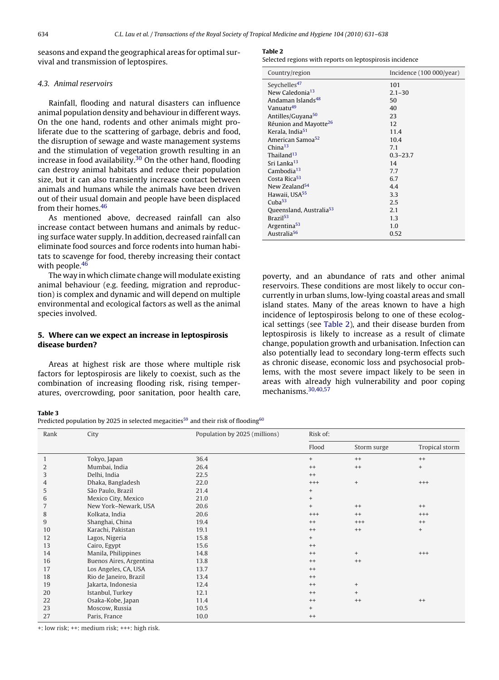<span id="page-3-0"></span>seasons and expand the geographical areas for optimal survival and transmission of leptospires.

# 4.3. Animal reservoirs

Rainfall, flooding and natural disasters can influence animal population density and behaviour in different ways. On the one hand, rodents and other animals might proliferate due to the scattering of garbage, debris and food, the disruption of sewage and waste management systems and the stimulation of vegetation growth resulting in an increase in food availability. $30$  On the other hand, flooding can destroy animal habitats and reduce their population size, but it can also transiently increase contact between animals and humans while the animals have been driven out of their usual domain and people have been displaced from their homes.[46](#page-7-0)

As mentioned above, decreased rainfall can also increase contact between humans and animals by reducing surface water supply. In addition, decreased rainfall can eliminate food sources and force rodents into human habitats to scavenge for food, thereby increasing their contact with people.<sup>[46](#page-7-0)</sup>

The way in which climate change will modulate existing animal behaviour (e.g. feeding, migration and reproduction) is complex and dynamic and will depend on multiple environmental and ecological factors as well as the animal species involved.

# **5. Where can we expect an increase in leptospirosis disease burden?**

Areas at highest risk are those where multiple risk factors for leptospirosis are likely to coexist, such as the combination of increasing flooding risk, rising temperatures, overcrowding, poor sanitation, poor health care,

| ×<br>٠<br>۰. |  |
|--------------|--|
|--------------|--|

Selected regions with reports on leptospirosis incidence

| Country/region                      | Incidence (100 000/year) |
|-------------------------------------|--------------------------|
| Seychelles <sup>47</sup>            | 101                      |
| New Caledonia <sup>13</sup>         | $2.1 - 30$               |
| Andaman Islands <sup>48</sup>       | 50                       |
| Vanuatu <sup>49</sup>               | 40                       |
| Antilles/Guyana <sup>50</sup>       | 23                       |
| Réunion and Mayotte <sup>26</sup>   | 12                       |
| Kerala, India <sup>51</sup>         | 11.4                     |
| American Samoa <sup>52</sup>        | 10.4                     |
| China <sup>13</sup>                 | 7.1                      |
| Thailand <sup>13</sup>              | $0.3 - 23.7$             |
| Sri Lanka <sup>13</sup>             | 14                       |
| Cambodia <sup>13</sup>              | 7.7                      |
| Costa Rica <sup>53</sup>            | 6.7                      |
| New Zealand <sup>54</sup>           | 4.4                      |
| Hawaii, USA <sup>55</sup>           | 3.3                      |
| Cuba <sup>53</sup>                  | 2.5                      |
| Queensland, Australia <sup>53</sup> | 2.1                      |
| Brazil <sup>53</sup>                | 1.3                      |
| Argentina <sup>53</sup>             | 1.0                      |
| Australia <sup>56</sup>             | 0.52                     |

poverty, and an abundance of rats and other animal reservoirs. These conditions are most likely to occur concurrently in urban slums, low-lying coastal areas and small island states. Many of the areas known to have a high incidence of leptospirosis belong to one of these ecological settings (see Table 2), and their disease burden from leptospirosis is likely to increase as a result of climate change, population growth and urbanisation. Infection can also potentially lead to secondary long-term effects such as chronic disease, economic loss and psychosocial problems, with the most severe impact likely to be seen in areas with already high vulnerability and poor coping mechanisms[.30,40,57](#page-6-0)

#### **Table 3**

Predicted population by 2025 in selected megacities<sup>59</sup> and their risk of flooding<sup>[60](#page-7-0)</sup>

| Rank           | City                    | Population by 2025 (millions) | Risk of:  |             |                |  |  |
|----------------|-------------------------|-------------------------------|-----------|-------------|----------------|--|--|
|                |                         |                               | Flood     | Storm surge | Tropical storm |  |  |
|                | Tokyo, Japan            | 36.4                          | $+$       | $^{++}$     | $^{++}$        |  |  |
| $\overline{2}$ | Mumbai, India           | 26.4                          | $^{++}$   | $^{++}$     | $+$            |  |  |
| 3              | Delhi, India            | 22.5                          | $^{++}$   |             |                |  |  |
| 4              | Dhaka, Bangladesh       | 22.0                          | $^{+++}$  | $^{+}$      | $^{+++}$       |  |  |
| 5              | São Paulo, Brazil       | 21.4                          | $\ddot{}$ |             |                |  |  |
| 6              | Mexico City, Mexico     | 21.0                          | $+$       |             |                |  |  |
| 7              | New York-Newark, USA    | 20.6                          | $+$       | $^{++}$     | $++$           |  |  |
| 8              | Kolkata, India          | 20.6                          | $^{+++}$  | $^{++}$     | $^{+++}$       |  |  |
| 9              | Shanghai, China         | 19.4                          | $^{++}$   | $^{+++}$    | $^{++}$        |  |  |
| 10             | Karachi, Pakistan       | 19.1                          | $^{++}$   | $^{++}$     | $+$            |  |  |
| 12             | Lagos, Nigeria          | 15.8                          | $+$       |             |                |  |  |
| 13             | Cairo, Egypt            | 15.6                          | $++$      |             |                |  |  |
| 14             | Manila, Philippines     | 14.8                          | $++$      | $+$         | $^{+++}$       |  |  |
| 16             | Buenos Aires, Argentina | 13.8                          | $^{++}$   | $^{++}$     |                |  |  |
| 17             | Los Angeles, CA, USA    | 13.7                          | $++$      |             |                |  |  |
| 18             | Rio de Janeiro, Brazil  | 13.4                          | $++$      |             |                |  |  |
| 19             | Jakarta, Indonesia      | 12.4                          | $++$      | $+$         |                |  |  |
| 20             | Istanbul, Turkey        | 12.1                          | $++$      | $+$         |                |  |  |
| 22             | Osaka-Kobe, Japan       | 11.4                          | $++$      | $^{++}$     | $++$           |  |  |
| 23             | Moscow, Russia          | 10.5                          | $+$       |             |                |  |  |
| 27             | Paris, France           | 10.0                          | $++$      |             |                |  |  |
|                |                         |                               |           |             |                |  |  |

+: low risk; ++: medium risk; +++: high risk.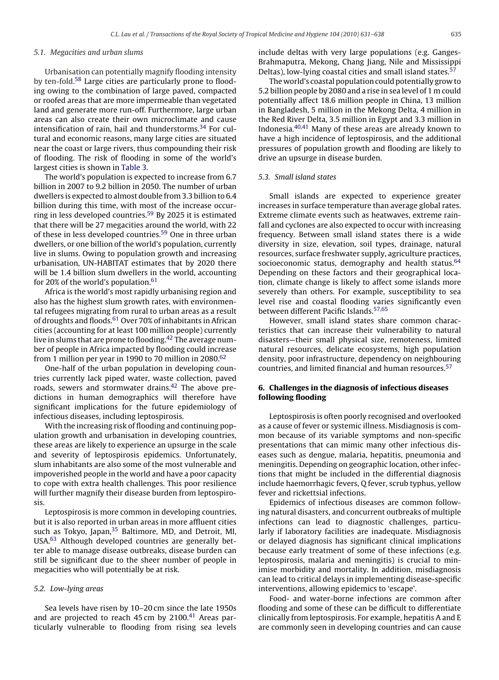# 5.1. Megacities and urban slums

Urbanisation can potentially magnify flooding intensity by ten-fold.[58](#page-7-0) Large cities are particularly prone to flooding owing to the combination of large paved, compacted or roofed areas that are more impermeable than vegetated land and generate more run-off. Furthermore, large urban areas can also create their own microclimate and cause intensification of rain, hail and thunderstorms. $34$  For cultural and economic reasons, many large cities are situated near the coast or large rivers, thus compounding their risk of flooding. The risk of flooding in some of the world's largest cities is shown in [Table 3.](#page-3-0)

The world's population is expected to increase from 6.7 billion in 2007 to 9.2 billion in 2050. The number of urban dwellers is expected to almost double from 3.3 billion to 6.4 billion during this time, with most of the increase occurring in less developed countries[.59](#page-7-0) By 2025 it is estimated that there will be 27 megacities around the world, with 22 of these in less developed countries.<sup>[59](#page-7-0)</sup> One in three urban dwellers, or one billion of the world's population, currently live in slums. Owing to population growth and increasing urbanisation, UN-HABITAT estimates that by 2020 there will be 1.4 billion slum dwellers in the world, accounting for 20% of the world's population.<sup>[61](#page-7-0)</sup>

Africa is the world's most rapidly urbanising region and also has the highest slum growth rates, with environmental refugees migrating from rural to urban areas as a result of droughts and floods.[61](#page-7-0) Over 70% of inhabitants in African cities (accounting for at least 100 million people) currently live in slums that are prone to flooding.<sup>[42](#page-7-0)</sup> The average number of people in Africa impacted by flooding could increase from 1 million per year in 1990 to 70 million in 2080.<sup>[62](#page-7-0)</sup>

One-half of the urban population in developing countries currently lack piped water, waste collection, paved roads, sewers and stormwater drains[.42](#page-7-0) The above predictions in human demographics will therefore have significant implications for the future epidemiology of infectious diseases, including leptospirosis.

With the increasing risk of flooding and continuing population growth and urbanisation in developing countries, these areas are likely to experience an upsurge in the scale and severity of leptospirosis epidemics. Unfortunately, slum inhabitants are also some of the most vulnerable and impoverished people in the world and have a poor capacity to cope with extra health challenges. This poor resilience will further magnify their disease burden from leptospirosis.

Leptospirosis is more common in developing countries, but it is also reported in urban areas in more affluent cities such as Tokyo, Japan, $35$  Baltimore, MD, and Detroit, MI, USA.[63](#page-7-0) Although developed countries are generally better able to manage disease outbreaks, disease burden can still be significant due to the sheer number of people in megacities who will potentially be at risk.

# 5.2. Low-lying areas

Sea levels have risen by 10–20 cm since the late 1950s and are projected to reach 45 cm by  $2100<sup>41</sup>$  Areas particularly vulnerable to flooding from rising sea levels include deltas with very large populations (e.g. Ganges-Brahmaputra, Mekong, Chang Jiang, Nile and Mississippi Deltas), low-lying coastal cities and small island states.[57](#page-7-0)

The world's coastal population could potentially grow to 5.2 billion people by 2080 and a rise in sea level of 1 m could potentially affect 18.6 million people in China, 13 million in Bangladesh, 5 million in the Mekong Delta, 4 million in the Red River Delta, 3.5 million in Egypt and 3.3 million in Indonesia[.40,41](#page-7-0) Many of these areas are already known to have a high incidence of leptospirosis, and the additional pressures of population growth and flooding are likely to drive an upsurge in disease burden.

# 5.3. Small island states

Small islands are expected to experience greater increases in surface temperature than average global rates. Extreme climate events such as heatwaves, extreme rainfall and cyclones are also expected to occur with increasing frequency. Between small island states there is a wide diversity in size, elevation, soil types, drainage, natural resources, surface freshwater supply, agriculture practices, socioeconomic status, demography and health status. $64$ Depending on these factors and their geographical location, climate change is likely to affect some islands more severely than others. For example, susceptibility to sea level rise and coastal flooding varies significantly even between different Pacific Islands.[57,65](#page-7-0)

However, small island states share common characteristics that can increase their vulnerability to natural disasters—their small physical size, remoteness, limited natural resources, delicate ecosystems, high population density, poor infrastructure, dependency on neighbouring countries, and limited financial and human resources[.57](#page-7-0)

# **6. Challenges in the diagnosis of infectious diseases following flooding**

Leptospirosis is often poorly recognised and overlooked as a cause of fever or systemic illness. Misdiagnosis is common because of its variable symptoms and non-specific presentations that can mimic many other infectious diseases such as dengue, malaria, hepatitis, pneumonia and meningitis. Depending on geographic location, other infections that might be included in the differential diagnosis include haemorrhagic fevers, Q fever, scrub typhus, yellow fever and rickettsial infections.

Epidemics of infectious diseases are common following natural disasters, and concurrent outbreaks of multiple infections can lead to diagnostic challenges, particularly if laboratory facilities are inadequate. Misdiagnosis or delayed diagnosis has significant clinical implications because early treatment of some of these infections (e.g. leptospirosis, malaria and meningitis) is crucial to minimise morbidity and mortality. In addition, misdiagnosis can lead to critical delays in implementing disease-specific interventions, allowing epidemics to 'escape'.

Food- and water-borne infections are common after flooding and some of these can be difficult to differentiate clinically from leptospirosis. For example, hepatitis A and E are commonly seen in developing countries and can cause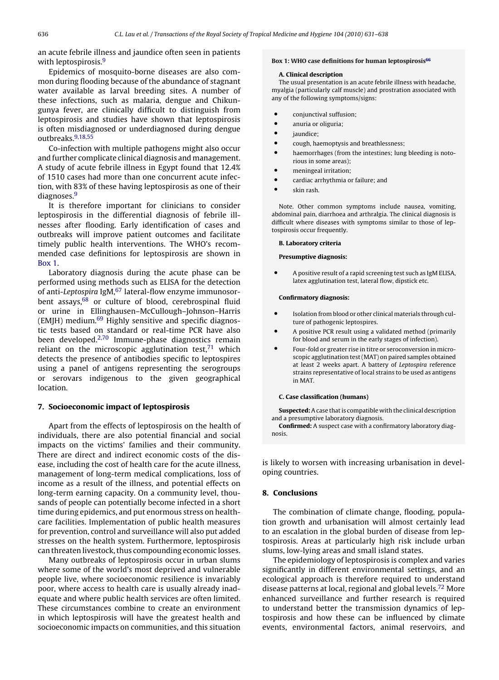an acute febrile illness and jaundice often seen in patients with leptospirosis.<sup>[9](#page-6-0)</sup>

Epidemics of mosquito-borne diseases are also common during flooding because of the abundance of stagnant water available as larval breeding sites. A number of these infections, such as malaria, dengue and Chikungunya fever, are clinically difficult to distinguish from leptospirosis and studies have shown that leptospirosis is often misdiagnosed or underdiagnosed during dengue outbreaks[.9,18,55](#page-6-0)

Co-infection with multiple pathogens might also occur and further complicate clinical diagnosis and management. A study of acute febrile illness in Egypt found that 12.4% of 1510 cases had more than one concurrent acute infection, with 83% of these having leptospirosis as one of their diagnoses.[9](#page-6-0)

It is therefore important for clinicians to consider leptospirosis in the differential diagnosis of febrile illnesses after flooding. Early identification of cases and outbreaks will improve patient outcomes and facilitate timely public health interventions. The WHO's recommended case definitions for leptospirosis are shown in Box 1.

Laboratory diagnosis during the acute phase can be performed using methods such as ELISA for the detection of anti-Leptospira IgM, <sup>[67](#page-7-0)</sup> lateral-flow enzyme immunosor-bent assays,<sup>[68](#page-7-0)</sup> or culture of blood, cerebrospinal fluid or urine in Ellinghausen–McCullough–Johnson–Harris (EMJH) medium.[69](#page-7-0) Highly sensitive and specific diagnostic tests based on standard or real-time PCR have also been developed[.2,70](#page-6-0) Immune-phase diagnostics remain reliant on the microscopic agglutination test, $71$  which detects the presence of antibodies specific to leptospires using a panel of antigens representing the serogroups or serovars indigenous to the given geographical location.

# **7. Socioeconomic impact of leptospirosis**

Apart from the effects of leptospirosis on the health of individuals, there are also potential financial and social impacts on the victims' families and their community. There are direct and indirect economic costs of the disease, including the cost of health care for the acute illness, management of long-term medical complications, loss of income as a result of the illness, and potential effects on long-term earning capacity. On a community level, thousands of people can potentially become infected in a short time during epidemics, and put enormous stress on healthcare facilities. Implementation of public health measures for prevention, control and surveillance will also put added stresses on the health system. Furthermore, leptospirosis can threaten livestock, thus compounding economic losses.

Many outbreaks of leptospirosis occur in urban slums where some of the world's most deprived and vulnerable people live, where socioeconomic resilience is invariably poor, where access to health care is usually already inadequate and where public health services are often limited. These circumstances combine to create an environment in which leptospirosis will have the greatest health and socioeconomic impacts on communities, and this situation

#### **Box 1: WHO case definitions for human leptospirosis[66](#page-7-0)**

#### **A. Clinical description**

The usual presentation is an acute febrile illness with headache, myalgia (particularly calf muscle) and prostration associated with any of the following symptoms/signs:

- conjunctival suffusion;
- anuria or oliguria;
- iaundice:
- cough, haemoptysis and breathlessness;
- haemorrhages (from the intestines; lung bleeding is notorious in some areas);
- meningeal irritation;
- cardiac arrhythmia or failure; and
- skin rash.

Note. Other common symptoms include nausea, vomiting, abdominal pain, diarrhoea and arthralgia. The clinical diagnosis is difficult where diseases with symptoms similar to those of leptospirosis occur frequently.

#### **B. Laboratory criteria**

#### **Presumptive diagnosis:**

• A positive result of a rapid screening test such as IgM ELISA, latex agglutination test, lateral flow, dipstick etc.

#### **Confirmatory diagnosis:**

- Isolation from blood or other clinical materials through culture of pathogenic leptospires.
- A positive PCR result using a validated method (primarily for blood and serum in the early stages of infection).
- Four-fold or greater rise in titre or seroconversion in microscopic agglutination test (MAT) on paired samples obtained at least 2 weeks apart. A battery of Leptospira reference strains representative of local strains to be used as antigens in MAT.

#### **C. Case classification (humans)**

**Suspected:**A case that is compatible with the clinical description and a presumptive laboratory diagnosis.

**Confirmed:** A suspect case with a confirmatory laboratory diagnosis.

is likely to worsen with increasing urbanisation in developing countries.

#### **8. Conclusions**

The combination of climate change, flooding, population growth and urbanisation will almost certainly lead to an escalation in the global burden of disease from leptospirosis. Areas at particularly high risk include urban slums, low-lying areas and small island states.

The epidemiology of leptospirosis is complex and varies significantly in different environmental settings, and an ecological approach is therefore required to understand disease patterns at local, regional and global levels.[72](#page-7-0) More enhanced surveillance and further research is required to understand better the transmission dynamics of leptospirosis and how these can be influenced by climate events, environmental factors, animal reservoirs, and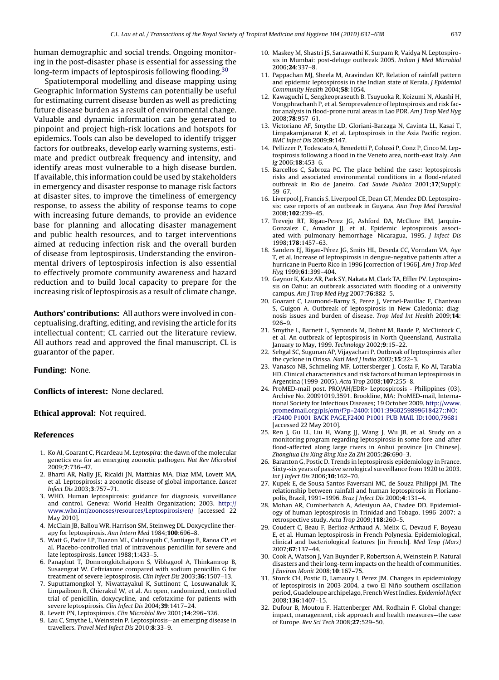<span id="page-6-0"></span>human demographic and social trends. Ongoing monitoring in the post-disaster phase is essential for assessing the long-term impacts of leptospirosis following flooding.30

Spatiotemporal modelling and disease mapping using Geographic Information Systems can potentially be useful for estimating current disease burden as well as predicting future disease burden as a result of environmental change. Valuable and dynamic information can be generated to pinpoint and project high-risk locations and hotspots for epidemics. Tools can also be developed to identify trigger factors for outbreaks, develop early warning systems, estimate and predict outbreak frequency and intensity, and identify areas most vulnerable to a high disease burden. If available, this information could be used by stakeholders in emergency and disaster response to manage risk factors at disaster sites, to improve the timeliness of emergency response, to assess the ability of response teams to cope with increasing future demands, to provide an evidence base for planning and allocating disaster management and public health resources, and to target interventions aimed at reducing infection risk and the overall burden of disease from leptospirosis. Understanding the environmental drivers of leptospirosis infection is also essential to effectively promote community awareness and hazard reduction and to build local capacity to prepare for the increasing risk of leptospirosis as a result of climate change.

**Authors' contributions:** All authors were involved in conceptualising, drafting, editing, and revising the article for its intellectual content; CL carried out the literature review. All authors read and approved the final manuscript. CL is guarantor of the paper.

**Funding:** None.

**Conflicts of interest:** None declared.

**Ethical approval:** Not required.

#### **References**

- 1. Ko AI, Goarant C, Picardeau M. Leptospira: the dawn of the molecular genetics era for an emerging zoonotic pathogen. Nat Rev Microbiol 2009;**7**:736–47.
- 2. Bharti AR, Nally JE, Ricaldi JN, Matthias MA, Diaz MM, Lovett MA, et al. Leptospirosis: a zoonotic disease of global importance. Lancet Infect Dis 2003;**3**:757–71.
- 3. WHO. Human leptospirosis: guidance for diagnosis, surveillance and control. Geneva: World Health Organization; 2003. http:// www.who.int/zoonoses/resources/Leptospirosis/en/ [accessed 22 May 2010].
- 4. McClain JB, Ballou WR, Harrison SM, Steinweg DL. Doxycycline therapy for leptospirosis. Ann Intern Med 1984;**100**:696–8.
- 5. Watt G, Padre LP, Tuazon ML, Calubaquib C, Santiago E, Ranoa CP, et al. Placebo-controlled trial of intravenous penicillin for severe and late leptospirosis. Lancet 1988;**1**:433–5.
- 6. Panaphut T, Domrongkitchaiporn S, Vibhagool A, Thinkamrop B, Susaengrat W. Ceftriaxone compared with sodium penicillin G for treatment of severe leptospirosis. Clin Infect Dis 2003;**36**:1507–13.
- 7. Suputtamongkol Y, Niwattayakul K, Suttinont C, Losuwanaluk K, Limpaiboon R, Chierakul W, et al. An open, randomized, controlled trial of penicillin, doxycycline, and cefotaxime for patients with severe leptospirosis. Clin Infect Dis 2004;**39**:1417–24.
- 8. Levett PN, Leptospirosis. Clin Microbiol Rev 2001;**14**:296–326.
- 9. Lau C, Smythe L, Weinstein P. Leptospirosis—an emerging disease in travellers. Travel Med Infect Dis 2010;**8**:33–9.
- 10. Maskey M, Shastri JS, Saraswathi K, Surpam R, Vaidya N. Leptospirosis in Mumbai: post-deluge outbreak 2005. Indian J Med Microbiol 2006;**24**:337–8.
- 11. Pappachan MJ, Sheela M, Aravindan KP. Relation of rainfall pattern and epidemic leptospirosis in the Indian state of Kerala. J Epidemiol Community Health 2004;**58**:1054.
- 12. Kawaguchi L, Sengkeopraseuth B, Tsuyuoka R, Koizumi N, Akashi H, Vongphrachanh P, et al. Seroprevalence of leptospirosis and risk factor analysis in flood-prone rural areas in Lao PDR. Am J Trop Med Hyg 2008;**78**:957–61.
- 13. Victoriano AF, Smythe LD, Gloriani-Barzaga N, Cavinta LL, Kasai T, Limpakarnjanarat K, et al. Leptospirosis in the Asia Pacific region. BMC Infect Dis 2009;**9**:147.
- 14. Pellizzer P, Todescato A, Benedetti P, Colussi P, Conz P, Cinco M. Leptospirosis following a flood in the Veneto area, north-east Italy. Ann Ig 2006;**18**:453–6.
- 15. Barcellos C, Sabroza PC. The place behind the case: leptospirosis risks and associated environmental conditions in a flood-related outbreak in Rio de Janeiro. Cad Saude Publica 2001;**17**(Suppl): 59–67.
- 16. Liverpool J, Francis S, Liverpool CE, Dean GT, Mendez DD. Leptospirosis: case reports of an outbreak in Guyana. Ann Trop Med Parasitol 2008;**102**:239–45.
- 17. Trevejo RT, Rigau-Perez JG, Ashford DA, McClure EM, Jarquin-Gonzalez C, Amador JJ, et al. Epidemic leptospirosis associated with pulmonary hemorrhage—Nicaragua, 1995. J Infect Dis 1998;**178**:1457–63.
- 18. Sanders EJ, Rigau-Pérez JG, Smits HL, Deseda CC, Vorndam VA, Aye T, et al. Increase of leptospirosis in dengue-negative patients after a hurricane in Puerto Rico in 1996 [correction of 1966]. Am J Trop Med Hyg 1999;**61**:399–404.
- 19. Gaynor K, Katz AR, Park SY, Nakata M, Clark TA, Effler PV. Leptospirosis on Oahu: an outbreak associated with flooding of a university campus. Am J Trop Med Hyg 2007;**76**:882–5.
- 20. Goarant C, Laumond-Barny S, Perez J, Vernel-Pauillac F, Chanteau S, Guigon A. Outbreak of leptospirosis in New Caledonia: diagnosis issues and burden of disease. Trop Med Int Health 2009;**14**: 926–9.
- 21. Smythe L, Barnett L, Symonds M, Dohnt M, Baade P, McClintock C, et al. An outbreak of leptospirosis in North Queensland, Australia January to May, 1999. Technology 2002;**9**:15–22.
- 22. Sehgal SC, Sugunan AP, Vijayachari P. Outbreak of leptospirosis after the cyclone in Orissa. Natl Med J India 2002;**15**:22–3.
- 23. Vanasco NB, Schmeling MF, Lottersberger J, Costa F, Ko AI, Tarabla HD. Clinical characteristics and risk factors of human leptospirosis in Argentina (1999-2005). Acta Trop 2008;**107**:255–8.
- 24. ProMED-mail post. PRO/AH/EDR> Leptospirosis Philippines (03). Archive No. 20091019.3591. Brookline, MA: ProMED-mail, International Society for Infectious Diseases; 19 October 2009. [http://www.](http://www.promedmail.org/pls/otn/f?p=2400:1001:3960259899618427::NO::F2400_P1001_BACK_PAGE,F2400_P1001_PUB_MAIL_ID:1000,79681) [promedmail.org/pls/otn/f?p=2400:1001:3960259899618427::NO:](http://www.promedmail.org/pls/otn/f?p=2400:1001:3960259899618427::NO::F2400_P1001_BACK_PAGE,F2400_P1001_PUB_MAIL_ID:1000,79681) :F2400 P1001 BACK PAGE,F2400 P1001 PUB MAIL ID:1000,79681 [accessed 22 May 2010].
- 25. Ren J, Gu LL, Liu H, Wang JJ, Wang J, Wu JB, et al. Study on a monitoring program regarding leptospirosis in some fore-and-after flood-affected along large rivers in Anhui province lin Chinesel. Zhonghua Liu Xing Bing Xue Za Zhi 2005;**26**:690–3.
- 26. Baranton G, Postic D. Trends in leptospirosis epidemiology in France. Sixty-six years of passive serological surveillance from 1920 to 2003. Int J Infect Dis 2006;**10**:162–70.
- 27. Kupek E, de Sousa Santos Faversani MC, de Souza Philippi JM. The relationship between rainfall and human leptospirosis in Florianopolis, Brazil, 1991–1996. Braz J Infect Dis 2000;**4**:131–4.
- [28.](http://www.who.int/zoonoses/resources/Leptospirosis/en/) [Mohan](http://www.who.int/zoonoses/resources/Leptospirosis/en/) [AR,](http://www.who.int/zoonoses/resources/Leptospirosis/en/) [Cumberbatch](http://www.who.int/zoonoses/resources/Leptospirosis/en/) [A,](http://www.who.int/zoonoses/resources/Leptospirosis/en/) [Adesiyun](http://www.who.int/zoonoses/resources/Leptospirosis/en/) AA, Chadee DD. Epidemiology of human leptospirosis in Trinidad and Tobago, 1996–2007: a retrospective study. Acta Trop 2009;**118**:260–5.
- 29. Coudert C, Beau F, Berlioz-Arthaud A, Melix G, Devaud F, Boyeau E, et al. Human leptospirosis in French Polynesia. Epidemiological, clinical and bacteriological features [in French]. Med Trop (Mars) 2007;**67**:137–44.
- 30. Cook A, Watson J, Van Buynder P, Robertson A, Weinstein P. Natural disasters and their long-term impacts on the health of communities. J Environ Monit 2008;**10**:167–75.
- 31. Storck CH, Postic D, Lamaury I, Perez JM. Changes in epidemiology of leptospirosis in 2003-2004, a two El Niño southern oscillation period, Guadeloupe archipelago, French West Indies. Epidemiol Infect 2008;**136**:1407–15.
- 32. Dufour B, Moutou F, Hattenberger AM, Rodhain F. Global change: impact, management, risk approach and health measures—the case of Europe. Rev Sci Tech 2008;**27**:529–50.